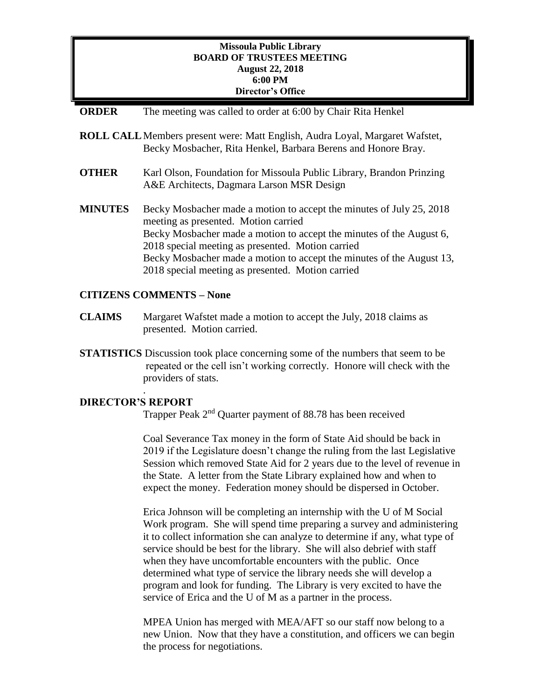## **Missoula Public Library BOARD OF TRUSTEES MEETING August 22, 2018 6:00 PM Director's Office**

- **ORDER** The meeting was called to order at 6:00 by Chair Rita Henkel
- **ROLL CALL**Members present were: Matt English, Audra Loyal, Margaret Wafstet, Becky Mosbacher, Rita Henkel, Barbara Berens and Honore Bray.
- **OTHER** Karl Olson, Foundation for Missoula Public Library, Brandon Prinzing A&E Architects, Dagmara Larson MSR Design
- **MINUTES** Becky Mosbacher made a motion to accept the minutes of July 25, 2018 meeting as presented. Motion carried Becky Mosbacher made a motion to accept the minutes of the August 6, 2018 special meeting as presented. Motion carried Becky Mosbacher made a motion to accept the minutes of the August 13, 2018 special meeting as presented. Motion carried

### **CITIZENS COMMENTS – None**

- **CLAIMS** Margaret Wafstet made a motion to accept the July, 2018 claims as presented. Motion carried.
- **STATISTICS** Discussion took place concerning some of the numbers that seem to be repeated or the cell isn't working correctly. Honore will check with the providers of stats.

### **DIRECTOR'S REPORT**

.

Trapper Peak 2<sup>nd</sup> Quarter payment of 88.78 has been received

Coal Severance Tax money in the form of State Aid should be back in 2019 if the Legislature doesn't change the ruling from the last Legislative Session which removed State Aid for 2 years due to the level of revenue in the State. A letter from the State Library explained how and when to expect the money. Federation money should be dispersed in October.

Erica Johnson will be completing an internship with the U of M Social Work program. She will spend time preparing a survey and administering it to collect information she can analyze to determine if any, what type of service should be best for the library. She will also debrief with staff when they have uncomfortable encounters with the public. Once determined what type of service the library needs she will develop a program and look for funding. The Library is very excited to have the service of Erica and the U of M as a partner in the process.

MPEA Union has merged with MEA/AFT so our staff now belong to a new Union. Now that they have a constitution, and officers we can begin the process for negotiations.